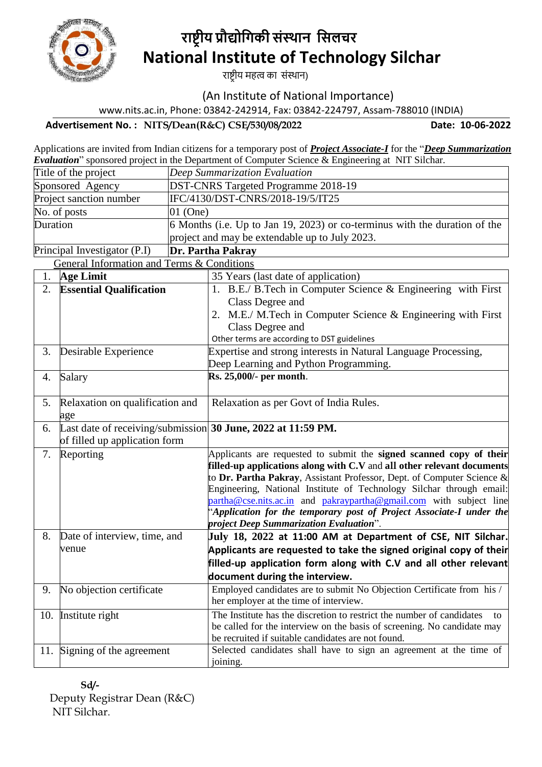

# **राष्ट्रीय प्रौद्योगिकी संस्थान गसलचर National Institute of Technology Silchar**

राष्ट्रीय महत्व का संस्थान)

(An Institute of National Importance)

www.nits.ac.in, Phone: 03842-242914, Fax: 03842-224797, Assam-788010 (INDIA)

**Advertisement No. : NITS/Dean(R&C) CSE/530/08/2022 Date: 10-06-2022** 

 Applications are invited from Indian citizens for a temporary post of *Project Associate-I* for the "*Deep Summarization Evaluation*" sponsored project in the Department of Computer Science & Engineering at NIT Silchar.

| DST-CNRS Targeted Programme 2018-19<br>Sponsored Agency                                                 |                                                                            |  |  |  |  |  |
|---------------------------------------------------------------------------------------------------------|----------------------------------------------------------------------------|--|--|--|--|--|
|                                                                                                         |                                                                            |  |  |  |  |  |
| IFC/4130/DST-CNRS/2018-19/5/IT25<br>Project sanction number                                             |                                                                            |  |  |  |  |  |
| No. of posts<br>$01$ (One)                                                                              |                                                                            |  |  |  |  |  |
| Duration                                                                                                | 6 Months (i.e. Up to Jan 19, 2023) or co-terminus with the duration of the |  |  |  |  |  |
| project and may be extendable up to July 2023.                                                          |                                                                            |  |  |  |  |  |
| Dr. Partha Pakray<br>Principal Investigator (P.I)                                                       |                                                                            |  |  |  |  |  |
| <b>General Information and Terms &amp; Conditions</b>                                                   |                                                                            |  |  |  |  |  |
| <b>Age Limit</b><br>35 Years (last date of application)<br>1.                                           |                                                                            |  |  |  |  |  |
| 2.<br><b>Essential Qualification</b><br>1. B.E./ B.Tech in Computer Science & Engineering with First    |                                                                            |  |  |  |  |  |
| Class Degree and                                                                                        |                                                                            |  |  |  |  |  |
| 2. M.E./ M.Tech in Computer Science & Engineering with First                                            |                                                                            |  |  |  |  |  |
| Class Degree and                                                                                        |                                                                            |  |  |  |  |  |
| Other terms are according to DST guidelines                                                             |                                                                            |  |  |  |  |  |
| Expertise and strong interests in Natural Language Processing,<br>Desirable Experience<br>3.            |                                                                            |  |  |  |  |  |
| Deep Learning and Python Programming.                                                                   |                                                                            |  |  |  |  |  |
| Rs. 25,000/- per month.<br>Salary<br>4.                                                                 |                                                                            |  |  |  |  |  |
|                                                                                                         |                                                                            |  |  |  |  |  |
| Relaxation on qualification and<br>Relaxation as per Govt of India Rules.<br>5.                         |                                                                            |  |  |  |  |  |
| age                                                                                                     |                                                                            |  |  |  |  |  |
| Last date of receiving/submission 30 June, 2022 at 11:59 PM.<br>6.                                      |                                                                            |  |  |  |  |  |
| of filled up application form                                                                           |                                                                            |  |  |  |  |  |
| Reporting<br>Applicants are requested to submit the signed scanned copy of their<br>7.                  |                                                                            |  |  |  |  |  |
|                                                                                                         | filled-up applications along with C.V and all other relevant documents     |  |  |  |  |  |
|                                                                                                         | to Dr. Partha Pakray, Assistant Professor, Dept. of Computer Science &     |  |  |  |  |  |
|                                                                                                         | Engineering, National Institute of Technology Silchar through email:       |  |  |  |  |  |
| partha@cse.nits.ac.in and pakraypartha@gmail.com with subject line                                      |                                                                            |  |  |  |  |  |
| project Deep Summarization Evaluation".                                                                 | 'Application for the temporary post of Project Associate-I under the       |  |  |  |  |  |
| Date of interview, time, and<br>8.<br>July 18, 2022 at 11:00 AM at Department of CSE, NIT Silchar.      |                                                                            |  |  |  |  |  |
| Applicants are requested to take the signed original copy of their<br>venue                             |                                                                            |  |  |  |  |  |
| filled-up application form along with C.V and all other relevant                                        |                                                                            |  |  |  |  |  |
| document during the interview.                                                                          |                                                                            |  |  |  |  |  |
| No objection certificate<br>Employed candidates are to submit No Objection Certificate from his /<br>9. |                                                                            |  |  |  |  |  |
| her employer at the time of interview.                                                                  |                                                                            |  |  |  |  |  |
| The Institute has the discretion to restrict the number of candidates<br>10. Institute right            | to                                                                         |  |  |  |  |  |
| be called for the interview on the basis of screening. No candidate may                                 |                                                                            |  |  |  |  |  |
| be recruited if suitable candidates are not found.                                                      |                                                                            |  |  |  |  |  |
| Selected candidates shall have to sign an agreement at the time of<br>11. Signing of the agreement      |                                                                            |  |  |  |  |  |
| joining.                                                                                                |                                                                            |  |  |  |  |  |

 **Sd/-** Deputy Registrar Dean (R&C) NIT Silchar.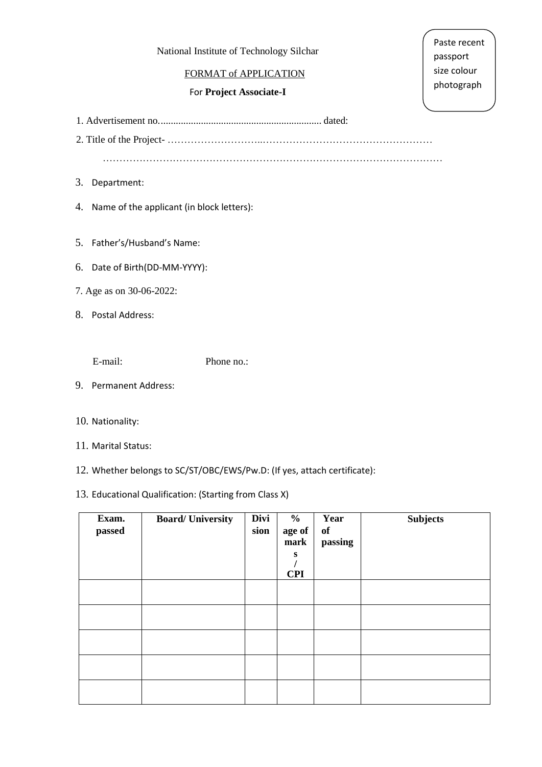#### National Institute of Technology Silchar

#### FORMAT of APPLICATION

#### For **Project Associate-I**

Paste recent passport size colour photograph

1. Advertisement no................................................................. dated:

2. Title of the Project- ………………………..……………………………………………

…………………………………………………………………………………………

- 3. Department:
- 4. Name of the applicant (in block letters):

5. Father's/Husband's Name:

- 6. Date of Birth(DD-MM-YYYY):
- 7. Age as on 30-06-2022:
- 8. Postal Address:

E-mail: Phone no.:

- 9. Permanent Address:
- 10. Nationality:
- 11. Marital Status:
- 12. Whether belongs to SC/ST/OBC/EWS/Pw.D: (If yes, attach certificate):

## 13. Educational Qualification: (Starting from Class X)

| Exam.<br>passed | <b>Board/University</b> | Divi<br>sion | $\frac{6}{10}$<br>age of<br>mark<br>S<br><b>CPI</b> | Year<br>of<br>passing | <b>Subjects</b> |
|-----------------|-------------------------|--------------|-----------------------------------------------------|-----------------------|-----------------|
|                 |                         |              |                                                     |                       |                 |
|                 |                         |              |                                                     |                       |                 |
|                 |                         |              |                                                     |                       |                 |
|                 |                         |              |                                                     |                       |                 |
|                 |                         |              |                                                     |                       |                 |